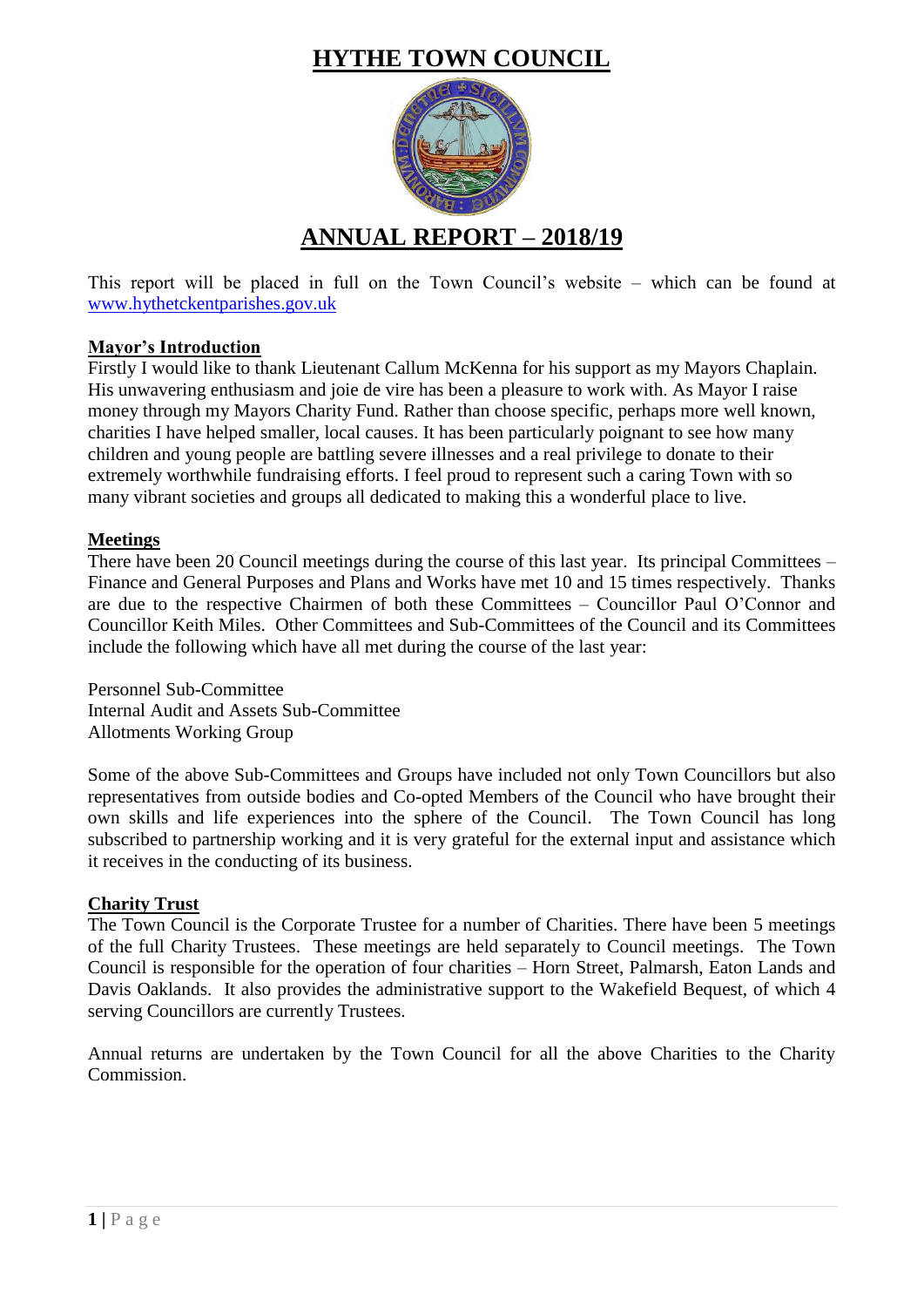# **HYTHE TOWN COUNCIL**



This report will be placed in full on the Town Council's website – which can be found at [www.hythetckentparishes.gov.uk](http://www.hythetckentparishes.gov.uk/)

# **Mayor's Introduction**

Firstly I would like to thank Lieutenant Callum McKenna for his support as my Mayors Chaplain. His unwavering enthusiasm and joie de vire has been a pleasure to work with. As Mayor I raise money through my Mayors Charity Fund. Rather than choose specific, perhaps more well known, charities I have helped smaller, local causes. It has been particularly poignant to see how many children and young people are battling severe illnesses and a real privilege to donate to their extremely worthwhile fundraising efforts. I feel proud to represent such a caring Town with so many vibrant societies and groups all dedicated to making this a wonderful place to live.

# **Meetings**

There have been 20 Council meetings during the course of this last year. Its principal Committees – Finance and General Purposes and Plans and Works have met 10 and 15 times respectively. Thanks are due to the respective Chairmen of both these Committees – Councillor Paul O'Connor and Councillor Keith Miles. Other Committees and Sub-Committees of the Council and its Committees include the following which have all met during the course of the last year:

Personnel Sub-Committee Internal Audit and Assets Sub-Committee Allotments Working Group

Some of the above Sub-Committees and Groups have included not only Town Councillors but also representatives from outside bodies and Co-opted Members of the Council who have brought their own skills and life experiences into the sphere of the Council. The Town Council has long subscribed to partnership working and it is very grateful for the external input and assistance which it receives in the conducting of its business.

# **Charity Trust**

The Town Council is the Corporate Trustee for a number of Charities. There have been 5 meetings of the full Charity Trustees. These meetings are held separately to Council meetings. The Town Council is responsible for the operation of four charities – Horn Street, Palmarsh, Eaton Lands and Davis Oaklands. It also provides the administrative support to the Wakefield Bequest, of which 4 serving Councillors are currently Trustees.

Annual returns are undertaken by the Town Council for all the above Charities to the Charity Commission.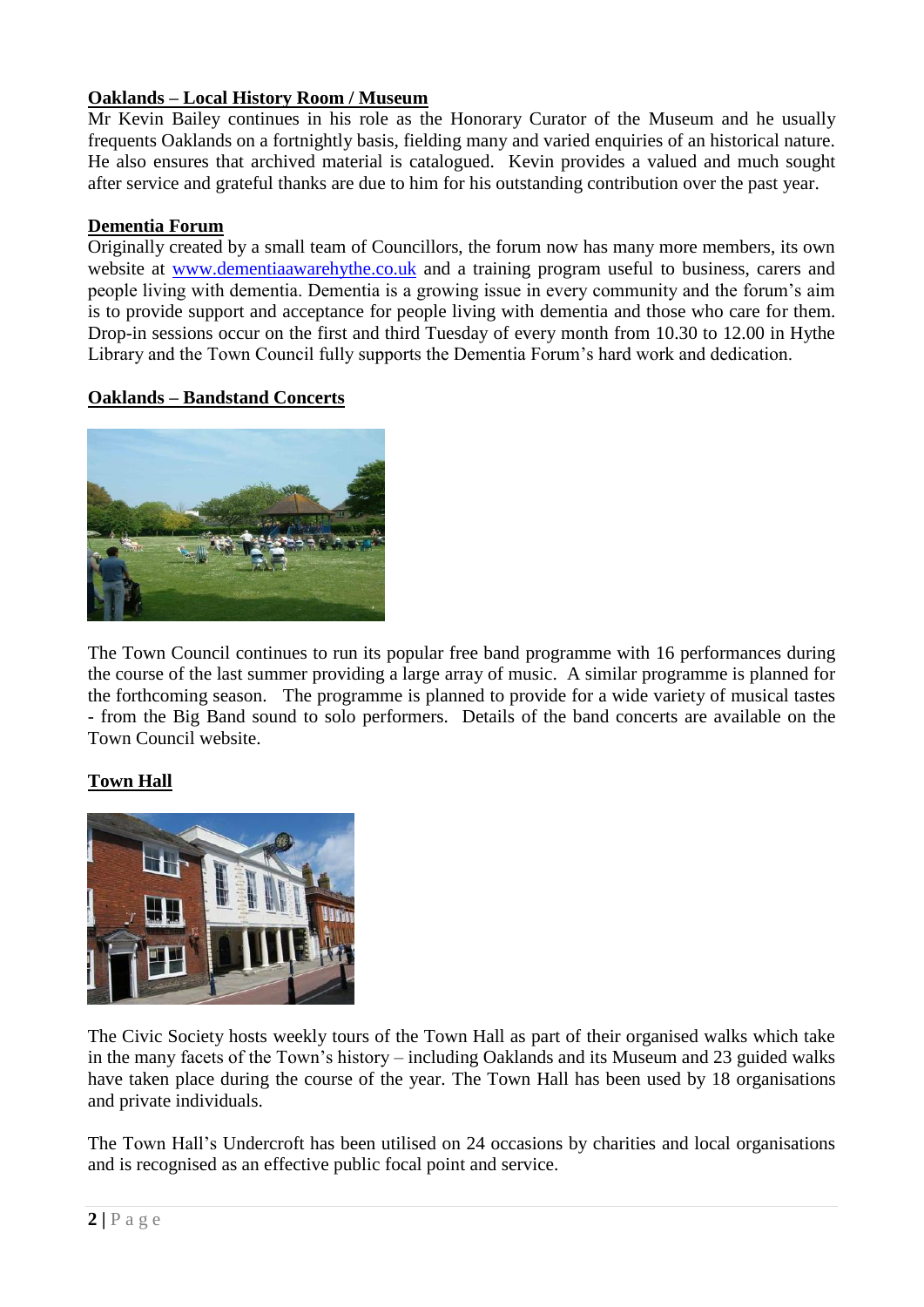# **Oaklands – Local History Room / Museum**

Mr Kevin Bailey continues in his role as the Honorary Curator of the Museum and he usually frequents Oaklands on a fortnightly basis, fielding many and varied enquiries of an historical nature. He also ensures that archived material is catalogued. Kevin provides a valued and much sought after service and grateful thanks are due to him for his outstanding contribution over the past year.

# **Dementia Forum**

Originally created by a small team of Councillors, the forum now has many more members, its own website at [www.dementiaawarehythe.co.uk](http://www.dementiaawarehythe.co.uk/) and a training program useful to business, carers and people living with dementia. Dementia is a growing issue in every community and the forum's aim is to provide support and acceptance for people living with dementia and those who care for them. Drop-in sessions occur on the first and third Tuesday of every month from 10.30 to 12.00 in Hythe Library and the Town Council fully supports the Dementia Forum's hard work and dedication.

# **Oaklands – Bandstand Concerts**



The Town Council continues to run its popular free band programme with 16 performances during the course of the last summer providing a large array of music. A similar programme is planned for the forthcoming season. The programme is planned to provide for a wide variety of musical tastes - from the Big Band sound to solo performers. Details of the band concerts are available on the Town Council website.

# **Town Hall**



The Civic Society hosts weekly tours of the Town Hall as part of their organised walks which take in the many facets of the Town's history – including Oaklands and its Museum and 23 guided walks have taken place during the course of the year. The Town Hall has been used by 18 organisations and private individuals.

The Town Hall's Undercroft has been utilised on 24 occasions by charities and local organisations and is recognised as an effective public focal point and service.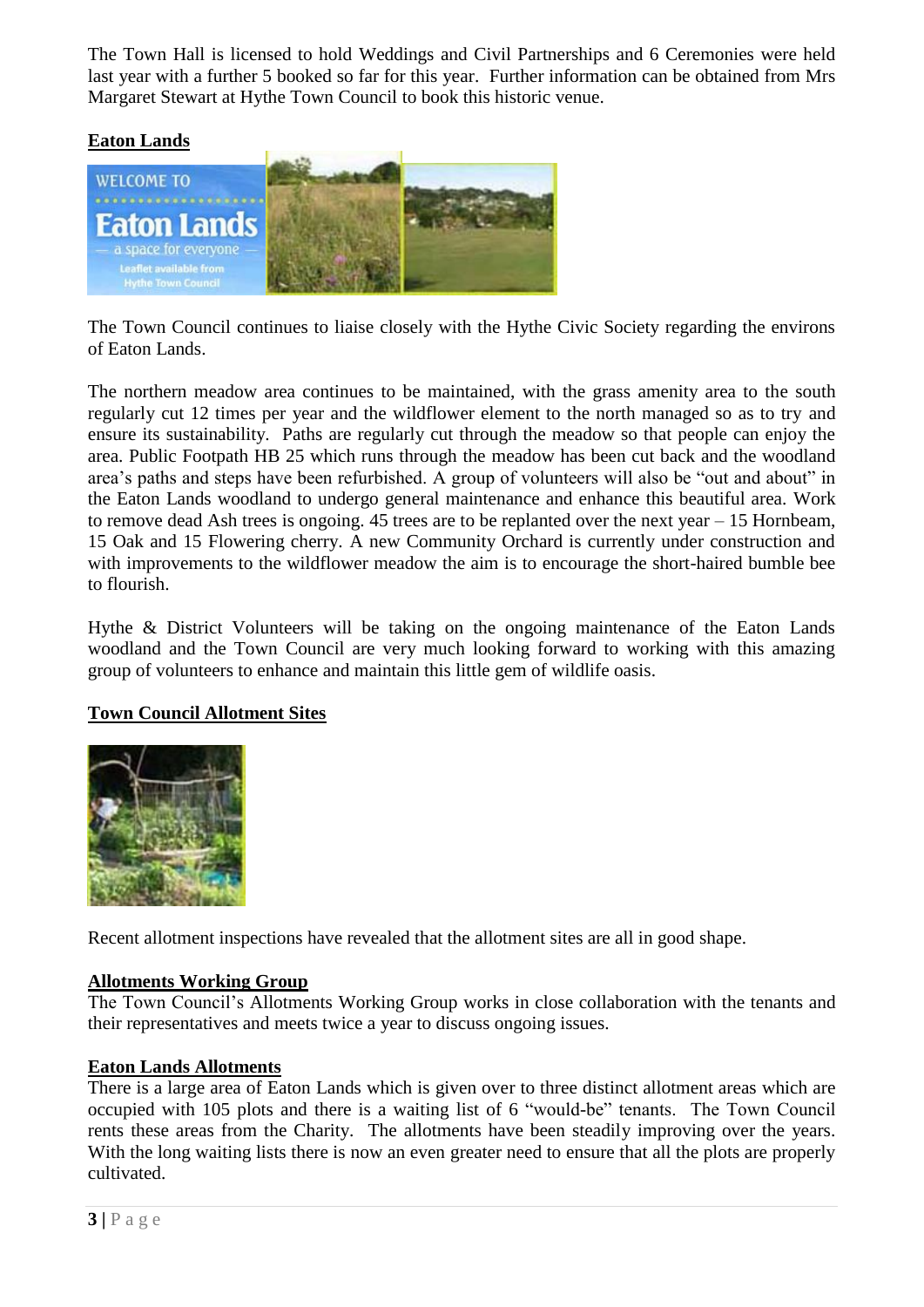The Town Hall is licensed to hold Weddings and Civil Partnerships and 6 Ceremonies were held last year with a further 5 booked so far for this year. Further information can be obtained from Mrs Margaret Stewart at Hythe Town Council to book this historic venue.

# **Eaton Lands**



The Town Council continues to liaise closely with the Hythe Civic Society regarding the environs of Eaton Lands.

The northern meadow area continues to be maintained, with the grass amenity area to the south regularly cut 12 times per year and the wildflower element to the north managed so as to try and ensure its sustainability. Paths are regularly cut through the meadow so that people can enjoy the area. Public Footpath HB 25 which runs through the meadow has been cut back and the woodland area's paths and steps have been refurbished. A group of volunteers will also be "out and about" in the Eaton Lands woodland to undergo general maintenance and enhance this beautiful area. Work to remove dead Ash trees is ongoing. 45 trees are to be replanted over the next year – 15 Hornbeam, 15 Oak and 15 Flowering cherry. A new Community Orchard is currently under construction and with improvements to the wildflower meadow the aim is to encourage the short-haired bumble bee to flourish.

Hythe & District Volunteers will be taking on the ongoing maintenance of the Eaton Lands woodland and the Town Council are very much looking forward to working with this amazing group of volunteers to enhance and maintain this little gem of wildlife oasis.

# **Town Council Allotment Sites**



Recent allotment inspections have revealed that the allotment sites are all in good shape.

### **Allotments Working Group**

The Town Council's Allotments Working Group works in close collaboration with the tenants and their representatives and meets twice a year to discuss ongoing issues.

### **Eaton Lands Allotments**

There is a large area of Eaton Lands which is given over to three distinct allotment areas which are occupied with 105 plots and there is a waiting list of 6 "would-be" tenants. The Town Council rents these areas from the Charity. The allotments have been steadily improving over the years. With the long waiting lists there is now an even greater need to ensure that all the plots are properly cultivated.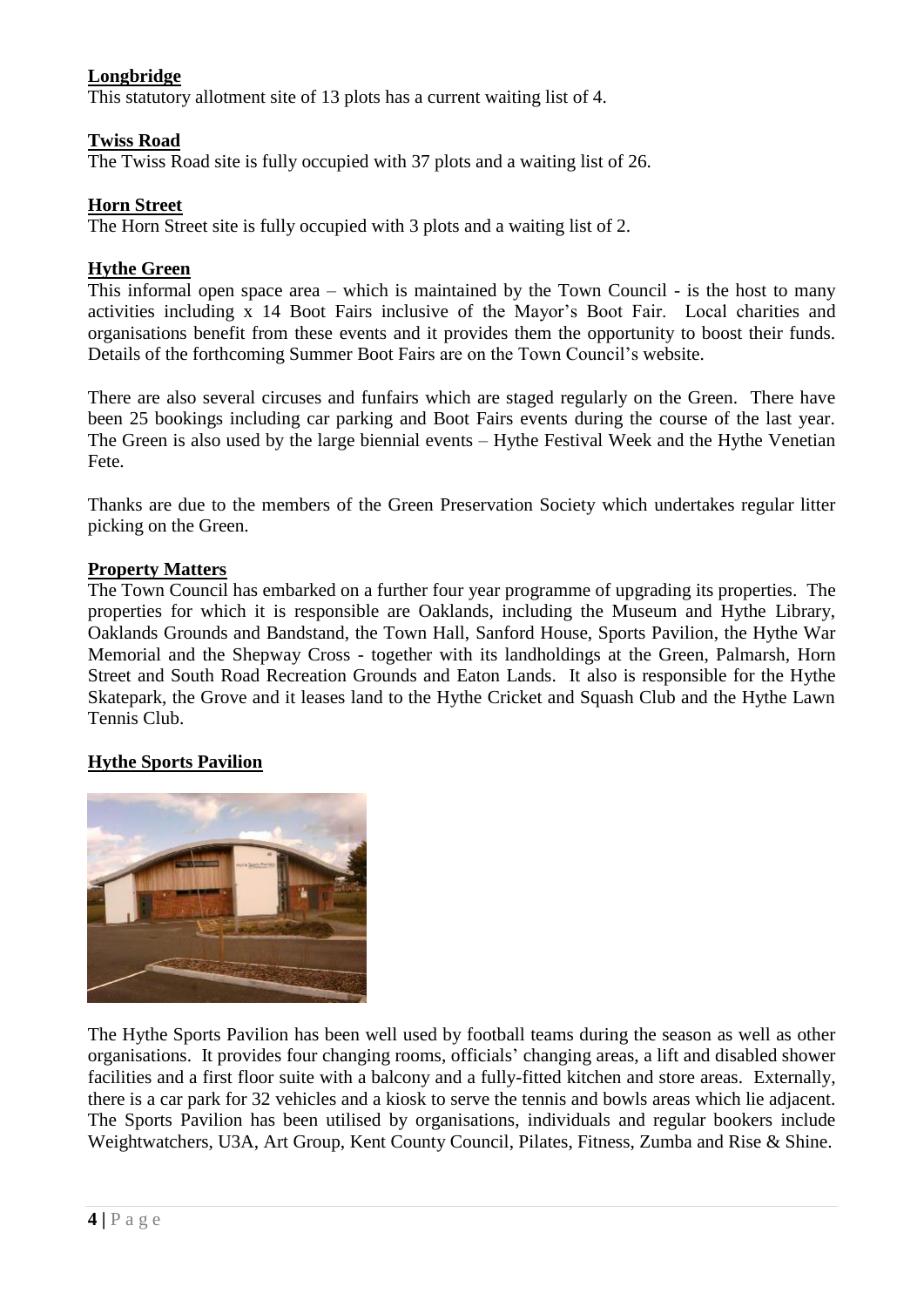# **Longbridge**

This statutory allotment site of 13 plots has a current waiting list of 4.

### **Twiss Road**

The Twiss Road site is fully occupied with 37 plots and a waiting list of 26.

### **Horn Street**

The Horn Street site is fully occupied with 3 plots and a waiting list of 2.

### **Hythe Green**

This informal open space area – which is maintained by the Town Council - is the host to many activities including x 14 Boot Fairs inclusive of the Mayor's Boot Fair. Local charities and organisations benefit from these events and it provides them the opportunity to boost their funds. Details of the forthcoming Summer Boot Fairs are on the Town Council's website.

There are also several circuses and funfairs which are staged regularly on the Green. There have been 25 bookings including car parking and Boot Fairs events during the course of the last year. The Green is also used by the large biennial events – Hythe Festival Week and the Hythe Venetian Fete.

Thanks are due to the members of the Green Preservation Society which undertakes regular litter picking on the Green.

### **Property Matters**

The Town Council has embarked on a further four year programme of upgrading its properties. The properties for which it is responsible are Oaklands, including the Museum and Hythe Library, Oaklands Grounds and Bandstand, the Town Hall, Sanford House, Sports Pavilion, the Hythe War Memorial and the Shepway Cross - together with its landholdings at the Green, Palmarsh, Horn Street and South Road Recreation Grounds and Eaton Lands. It also is responsible for the Hythe Skatepark, the Grove and it leases land to the Hythe Cricket and Squash Club and the Hythe Lawn Tennis Club.

### **Hythe Sports Pavilion**



The Hythe Sports Pavilion has been well used by football teams during the season as well as other organisations. It provides four changing rooms, officials' changing areas, a lift and disabled shower facilities and a first floor suite with a balcony and a fully-fitted kitchen and store areas. Externally, there is a car park for 32 vehicles and a kiosk to serve the tennis and bowls areas which lie adjacent. The Sports Pavilion has been utilised by organisations, individuals and regular bookers include Weightwatchers, U3A, Art Group, Kent County Council, Pilates, Fitness, Zumba and Rise & Shine.